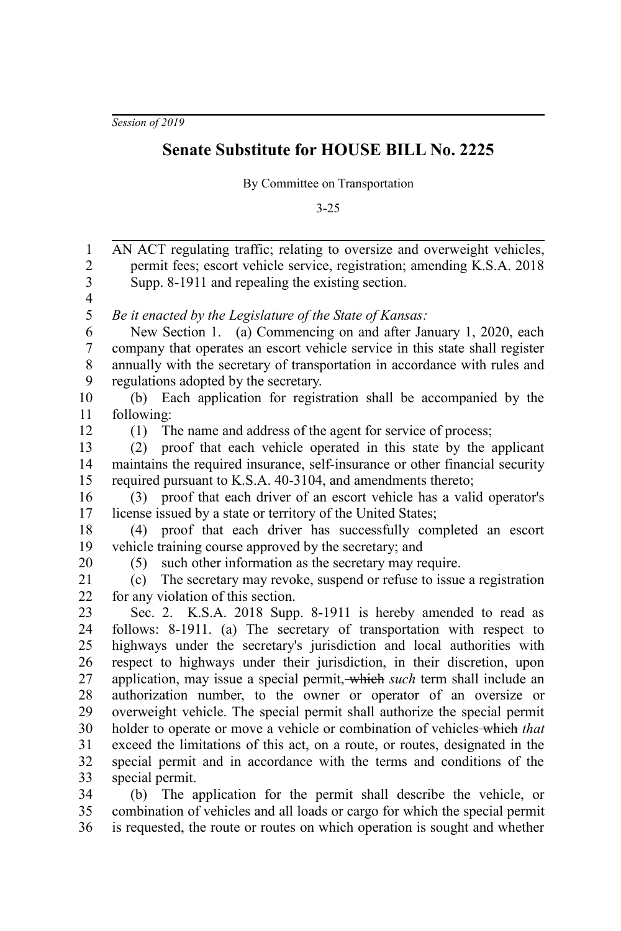*Session of 2019*

## **Senate Substitute for HOUSE BILL No. 2225**

By Committee on Transportation

3-25

AN ACT regulating traffic; relating to oversize and overweight vehicles, permit fees; escort vehicle service, registration; amending K.S.A. 2018 Supp. 8-1911 and repealing the existing section. *Be it enacted by the Legislature of the State of Kansas:* New Section 1. (a) Commencing on and after January 1, 2020, each company that operates an escort vehicle service in this state shall register annually with the secretary of transportation in accordance with rules and regulations adopted by the secretary. (b) Each application for registration shall be accompanied by the following: (1) The name and address of the agent for service of process; (2) proof that each vehicle operated in this state by the applicant maintains the required insurance, self-insurance or other financial security required pursuant to K.S.A. 40-3104, and amendments thereto; (3) proof that each driver of an escort vehicle has a valid operator's license issued by a state or territory of the United States; (4) proof that each driver has successfully completed an escort vehicle training course approved by the secretary; and (5) such other information as the secretary may require. (c) The secretary may revoke, suspend or refuse to issue a registration for any violation of this section. Sec. 2. K.S.A. 2018 Supp. 8-1911 is hereby amended to read as follows: 8-1911. (a) The secretary of transportation with respect to highways under the secretary's jurisdiction and local authorities with respect to highways under their jurisdiction, in their discretion, upon application, may issue a special permit, which *such* term shall include an authorization number, to the owner or operator of an oversize or overweight vehicle. The special permit shall authorize the special permit holder to operate or move a vehicle or combination of vehicles which *that* exceed the limitations of this act, on a route, or routes, designated in the special permit and in accordance with the terms and conditions of the special permit. (b) The application for the permit shall describe the vehicle, or 1 2 3 4 5 6 7 8 9 10 11 12 13 14 15 16 17 18 19 20 21 22 23 24 25 26 27 28 29 30 31 32 33 34

combination of vehicles and all loads or cargo for which the special permit is requested, the route or routes on which operation is sought and whether 35 36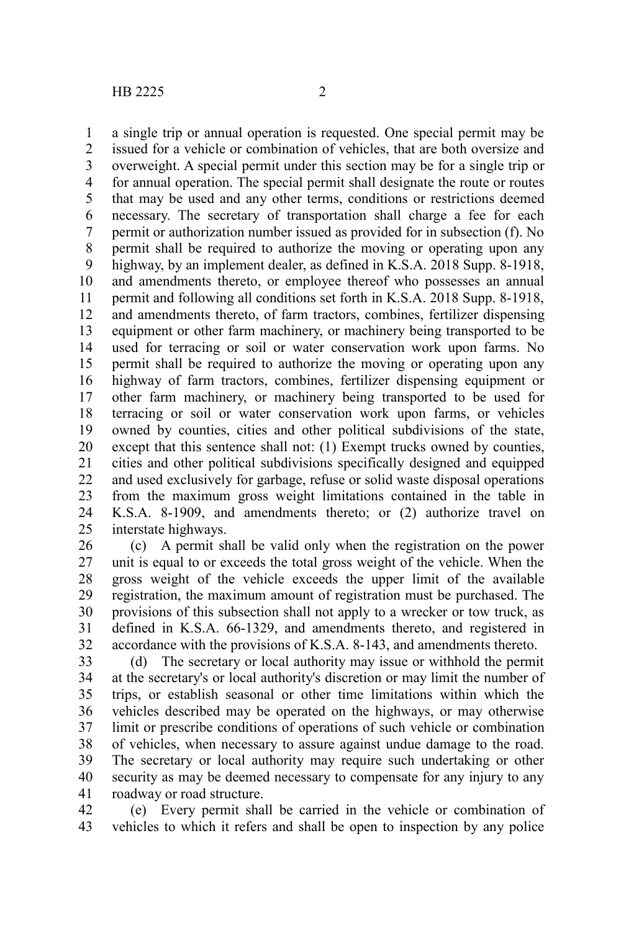a single trip or annual operation is requested. One special permit may be issued for a vehicle or combination of vehicles, that are both oversize and overweight. A special permit under this section may be for a single trip or for annual operation. The special permit shall designate the route or routes that may be used and any other terms, conditions or restrictions deemed necessary. The secretary of transportation shall charge a fee for each permit or authorization number issued as provided for in subsection (f). No permit shall be required to authorize the moving or operating upon any highway, by an implement dealer, as defined in K.S.A. 2018 Supp. 8-1918, and amendments thereto, or employee thereof who possesses an annual permit and following all conditions set forth in K.S.A. 2018 Supp. 8-1918, and amendments thereto, of farm tractors, combines, fertilizer dispensing equipment or other farm machinery, or machinery being transported to be used for terracing or soil or water conservation work upon farms. No permit shall be required to authorize the moving or operating upon any highway of farm tractors, combines, fertilizer dispensing equipment or other farm machinery, or machinery being transported to be used for terracing or soil or water conservation work upon farms, or vehicles owned by counties, cities and other political subdivisions of the state, except that this sentence shall not: (1) Exempt trucks owned by counties, cities and other political subdivisions specifically designed and equipped and used exclusively for garbage, refuse or solid waste disposal operations from the maximum gross weight limitations contained in the table in K.S.A. 8-1909, and amendments thereto; or (2) authorize travel on interstate highways. 1 2 3 4 5 6 7 8 9 10 11 12 13 14 15 16 17 18 19 20 21 22 23 24 25

(c) A permit shall be valid only when the registration on the power unit is equal to or exceeds the total gross weight of the vehicle. When the gross weight of the vehicle exceeds the upper limit of the available registration, the maximum amount of registration must be purchased. The provisions of this subsection shall not apply to a wrecker or tow truck, as defined in K.S.A. 66-1329, and amendments thereto, and registered in accordance with the provisions of K.S.A. 8-143, and amendments thereto. 26 27 28 29 30 31 32

(d) The secretary or local authority may issue or withhold the permit at the secretary's or local authority's discretion or may limit the number of trips, or establish seasonal or other time limitations within which the vehicles described may be operated on the highways, or may otherwise limit or prescribe conditions of operations of such vehicle or combination of vehicles, when necessary to assure against undue damage to the road. The secretary or local authority may require such undertaking or other security as may be deemed necessary to compensate for any injury to any roadway or road structure. 33 34 35 36 37 38 39 40 41

(e) Every permit shall be carried in the vehicle or combination of vehicles to which it refers and shall be open to inspection by any police 42 43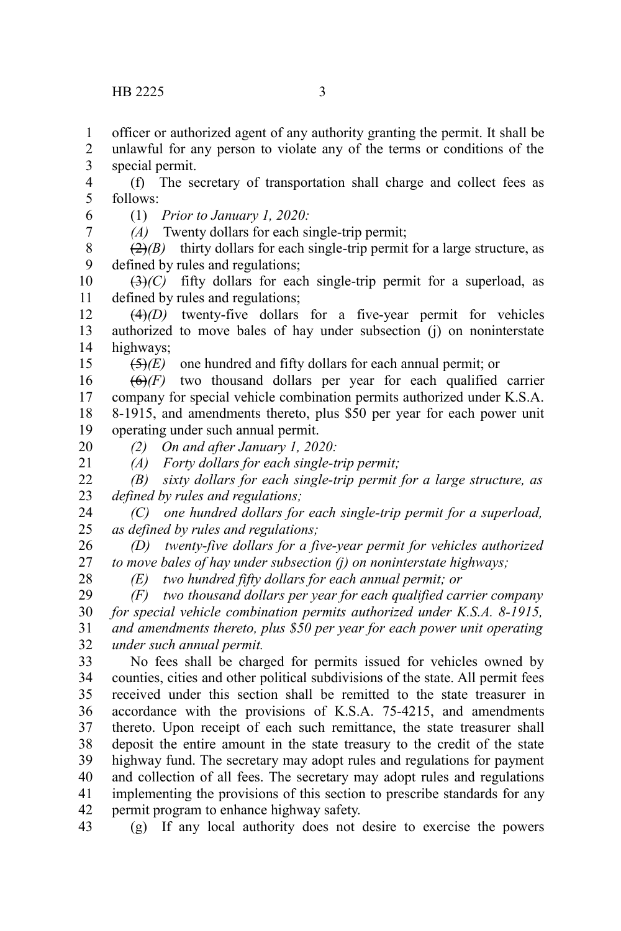officer or authorized agent of any authority granting the permit. It shall be 1

unlawful for any person to violate any of the terms or conditions of the special permit. 2 3

(f) The secretary of transportation shall charge and collect fees as follows: 4 5

(1) *Prior to January 1, 2020:* 6

7

*(A)* Twenty dollars for each single-trip permit;

 $\left(\frac{2}{2}\right)$  thirty dollars for each single-trip permit for a large structure, as defined by rules and regulations; 8 9

(3)*(C)* fifty dollars for each single-trip permit for a superload, as defined by rules and regulations; 10 11

 $(4)(D)$  twenty-five dollars for a five-year permit for vehicles authorized to move bales of hay under subsection (j) on noninterstate highways; 12 13 14

(5)*(E)* one hundred and fifty dollars for each annual permit; or

(6)*(F)* two thousand dollars per year for each qualified carrier company for special vehicle combination permits authorized under K.S.A. 8-1915, and amendments thereto, plus \$50 per year for each power unit operating under such annual permit. 16 17 18 19

20 21

15

*(2) On and after January 1, 2020:*

*(A) Forty dollars for each single-trip permit;*

*(B) sixty dollars for each single-trip permit for a large structure, as defined by rules and regulations;* 22 23

*(C) one hundred dollars for each single-trip permit for a superload, as defined by rules and regulations;* 24 25

*(D) twenty-five dollars for a five-year permit for vehicles authorized to move bales of hay under subsection (j) on noninterstate highways;* 26 27

28

*(E) two hundred fifty dollars for each annual permit; or*

*(F) two thousand dollars per year for each qualified carrier company for special vehicle combination permits authorized under K.S.A. 8-1915, and amendments thereto, plus \$50 per year for each power unit operating under such annual permit.* 29 30 31 32

No fees shall be charged for permits issued for vehicles owned by counties, cities and other political subdivisions of the state. All permit fees received under this section shall be remitted to the state treasurer in accordance with the provisions of K.S.A. 75-4215, and amendments thereto. Upon receipt of each such remittance, the state treasurer shall deposit the entire amount in the state treasury to the credit of the state highway fund. The secretary may adopt rules and regulations for payment and collection of all fees. The secretary may adopt rules and regulations implementing the provisions of this section to prescribe standards for any permit program to enhance highway safety. 33 34 35 36 37 38 39 40 41 42

(g) If any local authority does not desire to exercise the powers 43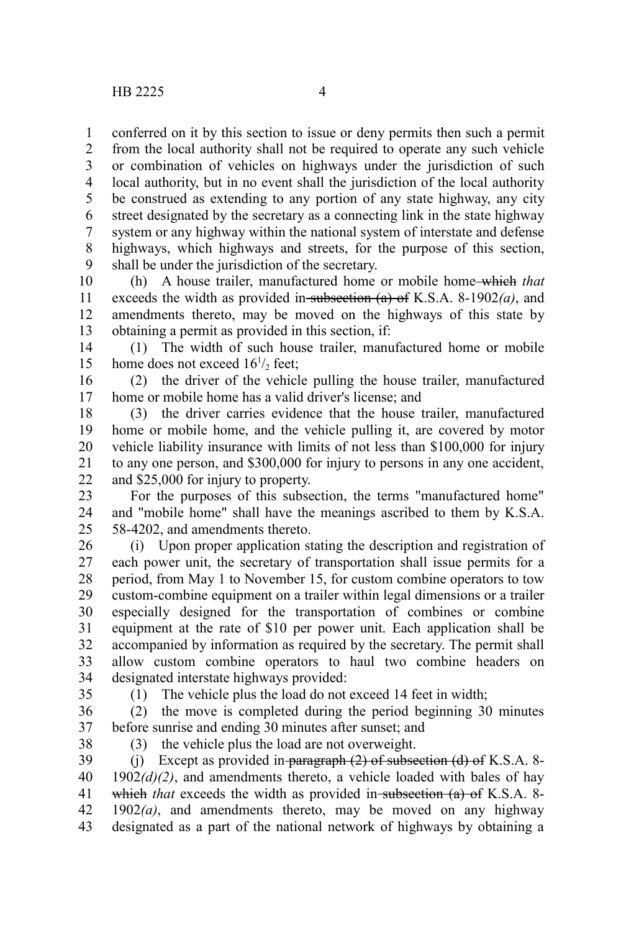conferred on it by this section to issue or deny permits then such a permit from the local authority shall not be required to operate any such vehicle or combination of vehicles on highways under the jurisdiction of such local authority, but in no event shall the jurisdiction of the local authority be construed as extending to any portion of any state highway, any city street designated by the secretary as a connecting link in the state highway system or any highway within the national system of interstate and defense highways, which highways and streets, for the purpose of this section, shall be under the jurisdiction of the secretary. 1 2 3 4 5 6 7 8 9

(h) A house trailer, manufactured home or mobile home which *that* exceeds the width as provided in subsection  $(a)$  of K.S.A. 8-1902 $(a)$ , and amendments thereto, may be moved on the highways of this state by obtaining a permit as provided in this section, if: 10 11 12 13

(1) The width of such house trailer, manufactured home or mobile home does not exceed  $16^{1/2}$  feet; 14 15

(2) the driver of the vehicle pulling the house trailer, manufactured home or mobile home has a valid driver's license; and 16 17

(3) the driver carries evidence that the house trailer, manufactured home or mobile home, and the vehicle pulling it, are covered by motor vehicle liability insurance with limits of not less than \$100,000 for injury to any one person, and \$300,000 for injury to persons in any one accident, and \$25,000 for injury to property. 18 19 20 21 22

For the purposes of this subsection, the terms "manufactured home" and "mobile home" shall have the meanings ascribed to them by K.S.A. 58-4202, and amendments thereto. 23 24 25

(i) Upon proper application stating the description and registration of each power unit, the secretary of transportation shall issue permits for a period, from May 1 to November 15, for custom combine operators to tow custom-combine equipment on a trailer within legal dimensions or a trailer especially designed for the transportation of combines or combine equipment at the rate of \$10 per power unit. Each application shall be accompanied by information as required by the secretary. The permit shall allow custom combine operators to haul two combine headers on designated interstate highways provided: 26 27 28 29 30 31 32 33 34

35

(1) The vehicle plus the load do not exceed 14 feet in width;

(2) the move is completed during the period beginning 30 minutes before sunrise and ending 30 minutes after sunset; and 36 37

38

(3) the vehicle plus the load are not overweight.

(j) Except as provided in paragraph  $(2)$  of subsection  $(d)$  of K.S.A. 8- $1902(d)(2)$ , and amendments thereto, a vehicle loaded with bales of hay which *that* exceeds the width as provided in subsection (a) of K.S.A. 8-1902*(a)*, and amendments thereto, may be moved on any highway designated as a part of the national network of highways by obtaining a 39 40 41 42 43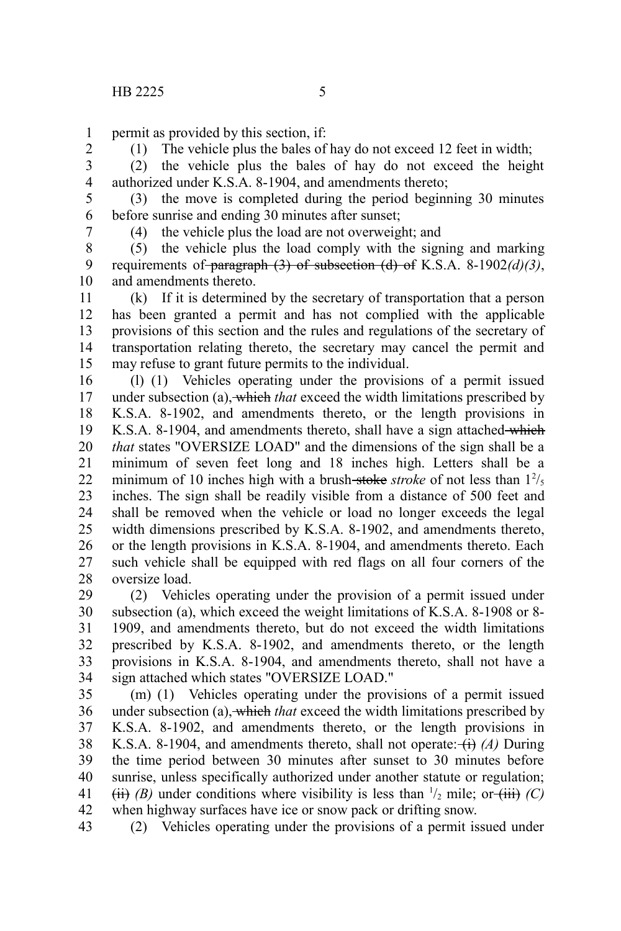permit as provided by this section, if: 1

2 3

(1) The vehicle plus the bales of hay do not exceed 12 feet in width; (2) the vehicle plus the bales of hay do not exceed the height authorized under K.S.A. 8-1904, and amendments thereto;

4

(3) the move is completed during the period beginning 30 minutes before sunrise and ending 30 minutes after sunset; 5 6

7

(4) the vehicle plus the load are not overweight; and

(5) the vehicle plus the load comply with the signing and marking requirements of paragraph (3) of subsection (d) of K.S.A. 8-1902*(d)(3)*, and amendments thereto. 8 9 10

(k) If it is determined by the secretary of transportation that a person has been granted a permit and has not complied with the applicable provisions of this section and the rules and regulations of the secretary of transportation relating thereto, the secretary may cancel the permit and may refuse to grant future permits to the individual. 11 12 13 14 15

(l) (1) Vehicles operating under the provisions of a permit issued under subsection (a), which *that* exceed the width limitations prescribed by K.S.A. 8-1902, and amendments thereto, or the length provisions in K.S.A. 8-1904, and amendments thereto, shall have a sign attached which *that* states "OVERSIZE LOAD" and the dimensions of the sign shall be a minimum of seven feet long and 18 inches high. Letters shall be a minimum of 10 inches high with a brush-stoke *stroke* of not less than  $1^2$ /<sub>5</sub> inches. The sign shall be readily visible from a distance of 500 feet and shall be removed when the vehicle or load no longer exceeds the legal width dimensions prescribed by K.S.A. 8-1902, and amendments thereto, or the length provisions in K.S.A. 8-1904, and amendments thereto. Each such vehicle shall be equipped with red flags on all four corners of the oversize load. 16 17 18 19 20 21 22 23 24 25 26 27 28

(2) Vehicles operating under the provision of a permit issued under subsection (a), which exceed the weight limitations of K.S.A. 8-1908 or 8- 1909, and amendments thereto, but do not exceed the width limitations prescribed by K.S.A. 8-1902, and amendments thereto, or the length provisions in K.S.A. 8-1904, and amendments thereto, shall not have a sign attached which states "OVERSIZE LOAD." 29 30 31 32 33 34

(m) (1) Vehicles operating under the provisions of a permit issued under subsection (a), which *that* exceed the width limitations prescribed by K.S.A. 8-1902, and amendments thereto, or the length provisions in K.S.A. 8-1904, and amendments thereto, shall not operate:  $\leftrightarrow$  *(A)* During the time period between 30 minutes after sunset to 30 minutes before sunrise, unless specifically authorized under another statute or regulation;  $(iii)$  *(B)* under conditions where visibility is less than  $\frac{1}{2}$  mile; or  $(iii)$  *(C)* when highway surfaces have ice or snow pack or drifting snow. 35 36 37 38 39 40 41 42

(2) Vehicles operating under the provisions of a permit issued under 43